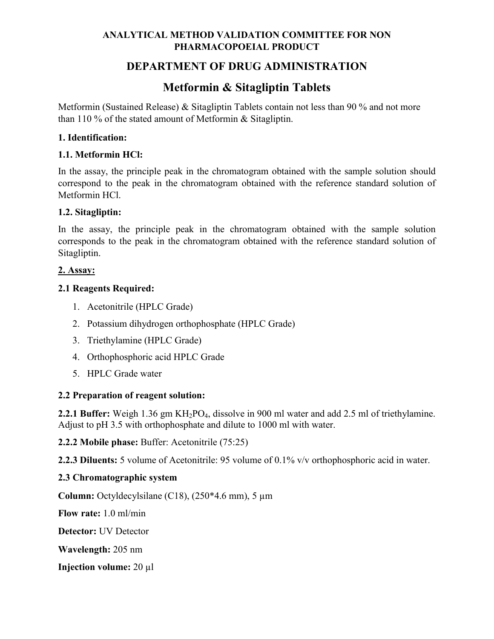# **DEPARTMENT OF DRUG ADMINISTRATION**

# **Metformin & Sitagliptin Tablets**

Metformin (Sustained Release) & Sitagliptin Tablets contain not less than 90 % and not more than 110 % of the stated amount of Metformin & Sitagliptin.

#### **1. Identification:**

#### **1.1. Metformin HCl:**

In the assay, the principle peak in the chromatogram obtained with the sample solution should correspond to the peak in the chromatogram obtained with the reference standard solution of Metformin HCl.

#### **1.2. Sitagliptin:**

In the assay, the principle peak in the chromatogram obtained with the sample solution corresponds to the peak in the chromatogram obtained with the reference standard solution of Sitagliptin.

#### **2. Assay:**

#### **2.1 Reagents Required:**

- 1. Acetonitrile (HPLC Grade)
- 2. Potassium dihydrogen orthophosphate (HPLC Grade)
- 3. Triethylamine (HPLC Grade)
- 4. Orthophosphoric acid HPLC Grade
- 5. HPLC Grade water

#### **2.2 Preparation of reagent solution:**

**2.2.1 Buffer:** Weigh 1.36 gm KH<sub>2</sub>PO<sub>4</sub>, dissolve in 900 ml water and add 2.5 ml of triethylamine. Adjust to pH 3.5 with orthophosphate and dilute to 1000 ml with water.

**2.2.2 Mobile phase:** Buffer: Acetonitrile (75:25)

**2.2.3 Diluents:** 5 volume of Acetonitrile: 95 volume of 0.1% v/v orthophosphoric acid in water.

#### **2.3 Chromatographic system**

**Column:** Octyldecylsilane (C18),  $(250*4.6 \text{ mm})$ , 5  $\mu$ m

**Flow rate:** 1.0 ml/min

**Detector:** UV Detector

**Wavelength:** 205 nm

**Injection volume:** 20 µl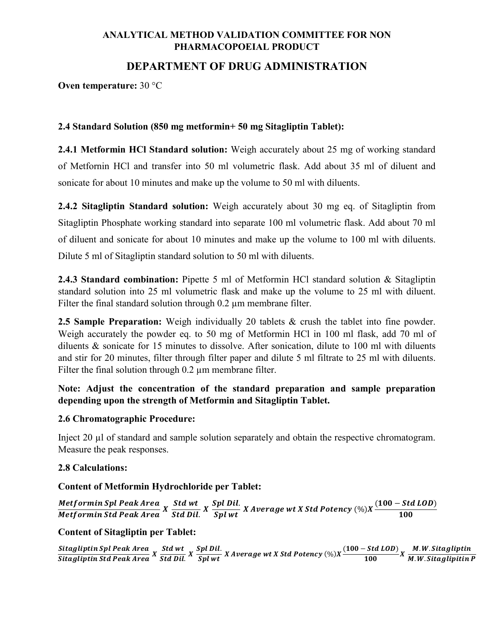# **DEPARTMENT OF DRUG ADMINISTRATION**

**Oven temperature:** 30 °C

#### **2.4 Standard Solution (850 mg metformin+ 50 mg Sitagliptin Tablet):**

**2.4.1 Metformin HCl Standard solution:** Weigh accurately about 25 mg of working standard of Metfornin HCl and transfer into 50 ml volumetric flask. Add about 35 ml of diluent and sonicate for about 10 minutes and make up the volume to 50 ml with diluents.

**2.4.2 Sitagliptin Standard solution:** Weigh accurately about 30 mg eq. of Sitagliptin from Sitagliptin Phosphate working standard into separate 100 ml volumetric flask. Add about 70 ml of diluent and sonicate for about 10 minutes and make up the volume to 100 ml with diluents. Dilute 5 ml of Sitagliptin standard solution to 50 ml with diluents.

**2.4.3 Standard combination:** Pipette 5 ml of Metformin HCl standard solution & Sitagliptin standard solution into 25 ml volumetric flask and make up the volume to 25 ml with diluent. Filter the final standard solution through 0.2 um membrane filter.

**2.5 Sample Preparation:** Weigh individually 20 tablets & crush the tablet into fine powder. Weigh accurately the powder eq. to 50 mg of Metformin HCl in 100 ml flask, add 70 ml of diluents & sonicate for 15 minutes to dissolve. After sonication, dilute to 100 ml with diluents and stir for 20 minutes, filter through filter paper and dilute 5 ml filtrate to 25 ml with diluents. Filter the final solution through 0.2 um membrane filter.

### **Note: Adjust the concentration of the standard preparation and sample preparation depending upon the strength of Metformin and Sitagliptin Tablet.**

#### **2.6 Chromatographic Procedure:**

Inject 20 µl of standard and sample solution separately and obtain the respective chromatogram. Measure the peak responses.

#### **2.8 Calculations:**

#### **Content of Metformin Hydrochloride per Tablet:**

Metformin Spl Peak Area<br>Metformin Std Peak Area X <mark>Std Dil</mark> <u>Std wt </u>  $X$  Spl Dil.<br>Std Dil.  $X$  Spl wt  $X$  Average wt  $X$  Std Potency  $(\%)X\frac{(100 - Std\,LOD)}{100}$ 

#### **Content of Sitagliptin per Tablet:**

Sitagliptin Spl Peak Area<br>Sitagliptin Std Peak Area X <mark>Std Dil</mark> <u>Std wt. X Spl Dil.</u><br>Std Dil. X  $\frac{Split}{Split}$  X Average wt X Std Potency (%)X  $\frac{(100 - Std\,LOD)}{100}$ X  $\frac{M.W. Stagliptin}{M.W. Stagliptin}$ M.W. Sitaglipitin P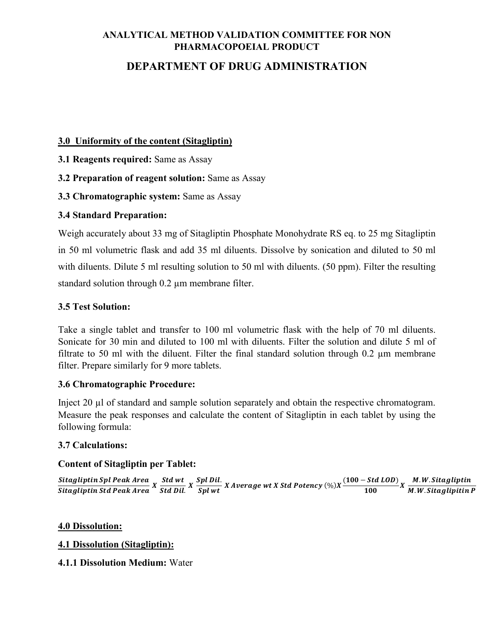# **DEPARTMENT OF DRUG ADMINISTRATION**

#### **3.0 Uniformity of the content (Sitagliptin)**

- **3.1 Reagents required:** Same as Assay
- **3.2 Preparation of reagent solution:** Same as Assay
- **3.3 Chromatographic system:** Same as Assay

## **3.4 Standard Preparation:**

Weigh accurately about 33 mg of Sitagliptin Phosphate Monohydrate RS eq. to 25 mg Sitagliptin in 50 ml volumetric flask and add 35 ml diluents. Dissolve by sonication and diluted to 50 ml with diluents. Dilute 5 ml resulting solution to 50 ml with diluents. (50 ppm). Filter the resulting standard solution through 0.2 µm membrane filter.

### **3.5 Test Solution:**

Take a single tablet and transfer to 100 ml volumetric flask with the help of 70 ml diluents. Sonicate for 30 min and diluted to 100 ml with diluents. Filter the solution and dilute 5 ml of filtrate to 50 ml with the diluent. Filter the final standard solution through 0.2 µm membrane filter. Prepare similarly for 9 more tablets.

#### **3.6 Chromatographic Procedure:**

Inject 20 µl of standard and sample solution separately and obtain the respective chromatogram. Measure the peak responses and calculate the content of Sitagliptin in each tablet by using the following formula:

#### **3.7 Calculations:**

## **Content of Sitagliptin per Tablet:**

Sitagliptin Spl Peak Area<br>Sitagliptin Std Peak Area X <mark>Std Dil</mark> <u>Std wt. X Spl Dil.</u><br>Std Dil. X  $\frac{Split}{Split}$  X Average wt X Std Potency (%)X  $\frac{(100 - Std\,LOD)}{100}$ X  $\frac{M.W. Stagliptin}{M.W. Stagliptin}$ M.W. Sitaglipitin P

#### **4.0 Dissolution:**

#### **4.1 Dissolution (Sitagliptin):**

#### **4.1.1 Dissolution Medium:** Water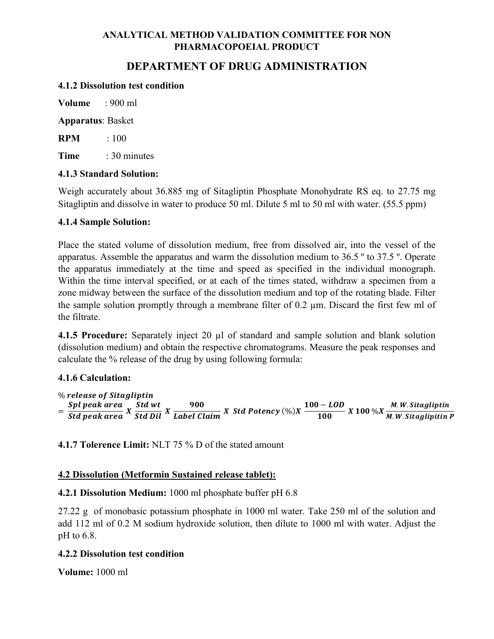# **DEPARTMENT OF DRUG ADMINISTRATION**

#### **4.1.2 Dissolution test condition**

**Volume** : 900 ml

**Apparatus**: Basket

**RPM** : 100

**Time** : 30 minutes

#### **4.1.3 Standard Solution:**

Weigh accurately about 36.885 mg of Sitagliptin Phosphate Monohydrate RS eq. to 27.75 mg Sitagliptin and dissolve in water to produce 50 ml. Dilute 5 ml to 50 ml with water. (55.5 ppm)

#### **4.1.4 Sample Solution:**

Place the stated volume of dissolution medium, free from dissolved air, into the vessel of the apparatus. Assemble the apparatus and warm the dissolution medium to 36.5 º to 37.5 º. Operate the apparatus immediately at the time and speed as specified in the individual monograph. Within the time interval specified, or at each of the times stated, withdraw a specimen from a zone midway between the surface of the dissolution medium and top of the rotating blade. Filter the sample solution promptly through a membrane filter of 0.2 µm. Discard the first few ml of the filtrate.

**4.1.5 Procedure:** Separately inject 20  $\mu$ l of standard and sample solution and blank solution (dissolution medium) and obtain the respective chromatograms. Measure the peak responses and calculate the % release of the drug by using following formula:

#### **4.1.6 Calculation:**

% release of Sitagliptin  $=\frac{Spl\ peak\ area}{Std\ peak\ area}\ X\ \frac{Std\ wt}{Std\ Dil}\ X\ \frac{900}{Label\ Claim}\ X\ Std\ Potency(\%) X\ \frac{100-LOD}{100}\ X\ 100\ \% X\frac{M.W.Stagliptin}{M.W.Stagliptin}$ M.W. Sitaglipitin P

**4.1.7 Tolerence Limit:** NLT 75 % D of the stated amount

#### **4.2 Dissolution (Metformin Sustained release tablet):**

**4.2.1 Dissolution Medium:** 1000 ml phosphate buffer pH 6.8

27.22 g of monobasic potassium phosphate in 1000 ml water. Take 250 ml of the solution and add 112 ml of 0.2 M sodium hydroxide solution, then dilute to 1000 ml with water. Adjust the pH to 6.8.

#### **4.2.2 Dissolution test condition**

**Volume:** 1000 ml